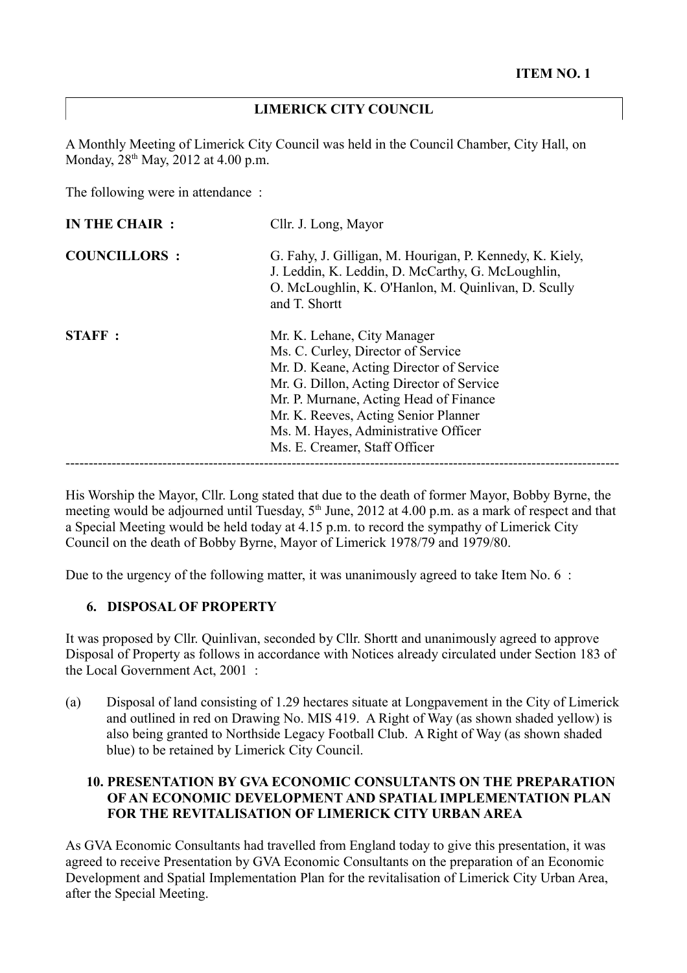## **LIMERICK CITY COUNCIL**

A Monthly Meeting of Limerick City Council was held in the Council Chamber, City Hall, on Monday, 28<sup>th</sup> May, 2012 at 4.00 p.m.

The following were in attendance :

| <b>COUNCILLORS:</b> | G. Fahy, J. Gilligan, M. Hourigan, P. Kennedy, K. Kiely,<br>J. Leddin, K. Leddin, D. McCarthy, G. McLoughlin,<br>O. McLoughlin, K. O'Hanlon, M. Quinlivan, D. Scully<br>and T. Shortt                                                                                                                                 |
|---------------------|-----------------------------------------------------------------------------------------------------------------------------------------------------------------------------------------------------------------------------------------------------------------------------------------------------------------------|
| <b>STAFF:</b>       | Mr. K. Lehane, City Manager<br>Ms. C. Curley, Director of Service<br>Mr. D. Keane, Acting Director of Service<br>Mr. G. Dillon, Acting Director of Service<br>Mr. P. Murnane, Acting Head of Finance<br>Mr. K. Reeves, Acting Senior Planner<br>Ms. M. Hayes, Administrative Officer<br>Ms. E. Creamer, Staff Officer |

His Worship the Mayor, Cllr. Long stated that due to the death of former Mayor, Bobby Byrne, the meeting would be adjourned until Tuesday,  $5<sup>th</sup>$  June, 2012 at 4.00 p.m. as a mark of respect and that a Special Meeting would be held today at 4.15 p.m. to record the sympathy of Limerick City Council on the death of Bobby Byrne, Mayor of Limerick 1978/79 and 1979/80.

Due to the urgency of the following matter, it was unanimously agreed to take Item No. 6 :

## **6. DISPOSAL OF PROPERTY**

It was proposed by Cllr. Quinlivan, seconded by Cllr. Shortt and unanimously agreed to approve Disposal of Property as follows in accordance with Notices already circulated under Section 183 of the Local Government Act, 2001 :

(a) Disposal of land consisting of 1.29 hectares situate at Longpavement in the City of Limerick and outlined in red on Drawing No. MIS 419. A Right of Way (as shown shaded yellow) is also being granted to Northside Legacy Football Club. A Right of Way (as shown shaded blue) to be retained by Limerick City Council.

## **10. PRESENTATION BY GVA ECONOMIC CONSULTANTS ON THE PREPARATION OF AN ECONOMIC DEVELOPMENT AND SPATIAL IMPLEMENTATION PLAN FOR THE REVITALISATION OF LIMERICK CITY URBAN AREA**

As GVA Economic Consultants had travelled from England today to give this presentation, it was agreed to receive Presentation by GVA Economic Consultants on the preparation of an Economic Development and Spatial Implementation Plan for the revitalisation of Limerick City Urban Area, after the Special Meeting.